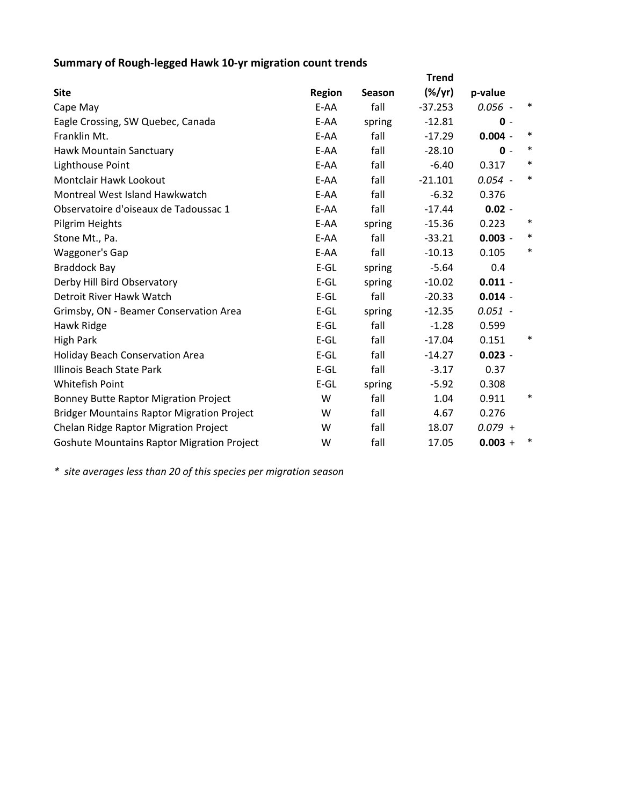## **Summary of Rough‐legged Hawk 10‐yr migration count trends**

|                                                   | <b>Trend</b>  |               |           |           |        |  |
|---------------------------------------------------|---------------|---------------|-----------|-----------|--------|--|
| <b>Site</b>                                       | <b>Region</b> | <b>Season</b> | $(\%/yr)$ | p-value   |        |  |
| Cape May                                          | E-AA          | fall          | $-37.253$ | $0.056 -$ | ∗      |  |
| Eagle Crossing, SW Quebec, Canada                 | E-AA          | spring        | $-12.81$  | $0 -$     |        |  |
| Franklin Mt.                                      | E-AA          | fall          | $-17.29$  | $0.004 -$ | $\ast$ |  |
| Hawk Mountain Sanctuary                           | E-AA          | fall          | $-28.10$  | $0 -$     | $\ast$ |  |
| Lighthouse Point                                  | E-AA          | fall          | $-6.40$   | 0.317     | $\ast$ |  |
| Montclair Hawk Lookout                            | E-AA          | fall          | $-21.101$ | $0.054 -$ | $\ast$ |  |
| Montreal West Island Hawkwatch                    | E-AA          | fall          | $-6.32$   | 0.376     |        |  |
| Observatoire d'oiseaux de Tadoussac 1             | E-AA          | fall          | $-17.44$  | $0.02 -$  |        |  |
| Pilgrim Heights                                   | E-AA          | spring        | $-15.36$  | 0.223     | ∗      |  |
| Stone Mt., Pa.                                    | E-AA          | fall          | $-33.21$  | $0.003 -$ | $\ast$ |  |
| Waggoner's Gap                                    | E-AA          | fall          | $-10.13$  | 0.105     | $\ast$ |  |
| <b>Braddock Bay</b>                               | $E-GL$        | spring        | $-5.64$   | 0.4       |        |  |
| Derby Hill Bird Observatory                       | $E-GL$        | spring        | $-10.02$  | $0.011 -$ |        |  |
| Detroit River Hawk Watch                          | $E-GL$        | fall          | $-20.33$  | $0.014 -$ |        |  |
| Grimsby, ON - Beamer Conservation Area            | $E-GL$        | spring        | $-12.35$  | $0.051 -$ |        |  |
| Hawk Ridge                                        | $E-GL$        | fall          | $-1.28$   | 0.599     |        |  |
| <b>High Park</b>                                  | $E-GL$        | fall          | $-17.04$  | 0.151     | $\ast$ |  |
| <b>Holiday Beach Conservation Area</b>            | $E-GL$        | fall          | $-14.27$  | $0.023 -$ |        |  |
| Illinois Beach State Park                         | $E-GL$        | fall          | $-3.17$   | 0.37      |        |  |
| Whitefish Point                                   | $E-GL$        | spring        | $-5.92$   | 0.308     |        |  |
| <b>Bonney Butte Raptor Migration Project</b>      | W             | fall          | 1.04      | 0.911     | ∗      |  |
| <b>Bridger Mountains Raptor Migration Project</b> | W             | fall          | 4.67      | 0.276     |        |  |
| Chelan Ridge Raptor Migration Project             | W             | fall          | 18.07     | $0.079 +$ |        |  |
| <b>Goshute Mountains Raptor Migration Project</b> | W             | fall          | 17.05     | $0.003 +$ | $\ast$ |  |

*\* site averages less than 20 of this species per migration season*